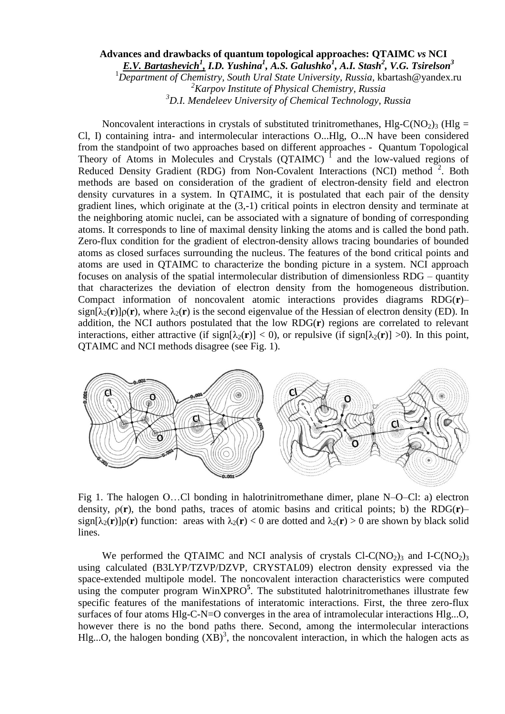## **Advances and drawbacks of quantum topological approaches: QTAIMC** *vs* **NCI**

*E.V. Bartashevich<sup>1</sup> , I.D. Yushina<sup>1</sup> , A.S. Galushko<sup>1</sup> , A.I. Stash<sup>2</sup> , V.G. Tsirelson<sup>3</sup>*

<sup>1</sup>*Department of Chemistry, South Ural State University, Russia,* kbartash@yandex.ru

*<sup>2</sup>Karpov Institute of Physical Chemistry, Russia*

*<sup>3</sup>D.I. Mendeleev University of Chemical Technology, Russia*

Noncovalent interactions in crystals of substituted trinitromethanes,  $Hlg-C(NO<sub>2</sub>)<sub>3</sub> (Hlg =$ Cl, I) containing intra- and intermolecular interactions O...Hlg, O...N have been considered from the standpoint of two approaches based on different approaches - Quantum Topological Theory of Atoms in Molecules and Crystals (QTAIMС) 1 and the low-valued regions of Reduced Density Gradient (RDG) from Non-Covalent Interactions (NCI) method<sup>2</sup>. Both methods are based on consideration of the gradient of electron-density field and electron density curvatures in a system. In QTAIMC, it is postulated that each pair of the density gradient lines, which originate at the (3,-1) critical points in electron density and terminate at the neighboring atomic nuclei, can be associated with a signature of bonding of corresponding atoms. It corresponds to line of maximal density linking the atoms and is called the bond path. Zero-flux condition for the gradient of electron-density allows tracing boundaries of bounded atoms as closed surfaces surrounding the nucleus. The features of the bond critical points and atoms are used in QTAIMC to characterize the bonding picture in a system. NCI approach focuses on analysis of the spatial intermolecular distribution of dimensionless RDG – quantity that characterizes the deviation of electron density from the homogeneous distribution. Compact information of noncovalent atomic interactions provides diagrams RDG(**r**)–  $\sinh(\lambda_2(\mathbf{r}))$ <sub>*ρ*(**r**), where  $\lambda_2(\mathbf{r})$  is the second eigenvalue of the Hessian of electron density (ED). In</sub> addition, the NCI authors postulated that the low RDG(**r**) regions are correlated to relevant interactions, either attractive (if sign[ $\lambda_2(\mathbf{r}) < 0$ ), or repulsive (if sign[ $\lambda_2(\mathbf{r}) > 0$ ). In this point, QTAIMC and NCI methods disagree (see Fig. 1).



Fig 1. The halogen О…Cl bonding in halotrinitromethane dimer, plane N–O–Cl: a) electron density, ρ(**r**), the bond paths, traces of atomic basins and critical points; b) the RDG(**r**)–  $sign[\lambda_2(\mathbf{r})] \rho(\mathbf{r})$  function: areas with  $\lambda_2(\mathbf{r}) < 0$  are dotted and  $\lambda_2(\mathbf{r}) > 0$  are shown by black solid lines.

We performed the QTAIMC and NCI analysis of crystals  $Cl-C(NO<sub>2</sub>)<sub>3</sub>$  and I-C(NO<sub>2</sub>)<sub>3</sub> using calculated (B3LYP/TZVP/DZVP, CRYSTAL09) electron density expressed via the space-extended multipole model. The noncovalent interaction characteristics were computed using the computer program WinXPRO**<sup>5</sup>** . The substituted halotrinitromethanes illustrate few specific features of the manifestations of interatomic interactions. First, the three zero-flux surfaces of four atoms Hlg-C-N=O converges in the area of intramolecular interactions Hlg...O, however there is no the bond paths there. Second, among the intermolecular interactions Hlg...O, the halogen bonding  $(XB)^3$ , the noncovalent interaction, in which the halogen acts as